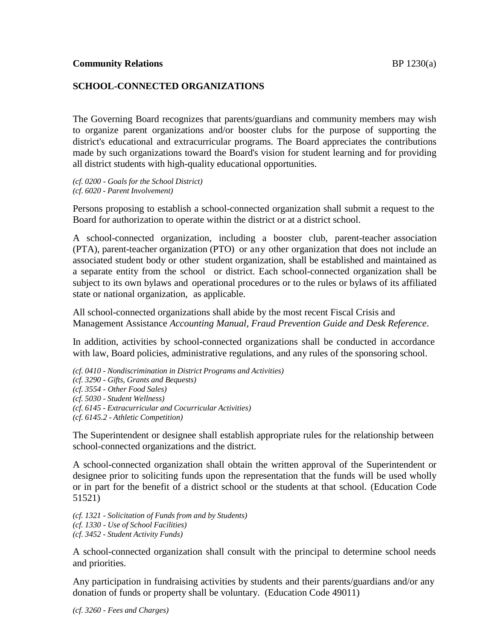# **SCHOOL-CONNECTED ORGANIZATIONS**

The Governing Board recognizes that parents/guardians and community members may wish to organize parent organizations and/or booster clubs for the purpose of supporting the district's educational and extracurricular programs. The Board appreciates the contributions made by such organizations toward the Board's vision for student learning and for providing all district students with high-quality educational opportunities.

*(cf. 0200 - Goals for the School District) (cf. 6020 - Parent Involvement)*

Persons proposing to establish a school-connected organization shall submit a request to the Board for authorization to operate within the district or at a district school.

A school-connected organization, including a booster club, parent-teacher association (PTA), parent-teacher organization (PTO) or any other organization that does not include an associated student body or other student organization, shall be established and maintained as a separate entity from the school or district. Each school-connected organization shall be subject to its own bylaws and operational procedures or to the rules or bylaws of its affiliated state or national organization, as applicable.

All school-connected organizations shall abide by the most recent Fiscal Crisis and Management Assistance *Accounting Manual, Fraud Prevention Guide and Desk Reference*.

In addition, activities by school-connected organizations shall be conducted in accordance with law, Board policies, administrative regulations, and any rules of the sponsoring school.

*(cf. 0410 - Nondiscrimination in District Programs and Activities) (cf. 3290 - Gifts, Grants and Bequests) (cf. 3554 - Other Food Sales) (cf. 5030 - Student Wellness) (cf. 6145 - Extracurricular and Cocurricular Activities) (cf. 6145.2 - Athletic Competition)*

The Superintendent or designee shall establish appropriate rules for the relationship between school-connected organizations and the district.

A school-connected organization shall obtain the written approval of the Superintendent or designee prior to soliciting funds upon the representation that the funds will be used wholly or in part for the benefit of a district school or the students at that school. (Education Code 51521)

*(cf. 1321 - Solicitation of Funds from and by Students) (cf. 1330 - Use of School Facilities) (cf. 3452 - Student Activity Funds)*

A school-connected organization shall consult with the principal to determine school needs and priorities.

Any participation in fundraising activities by students and their parents/guardians and/or any donation of funds or property shall be voluntary. (Education Code 49011)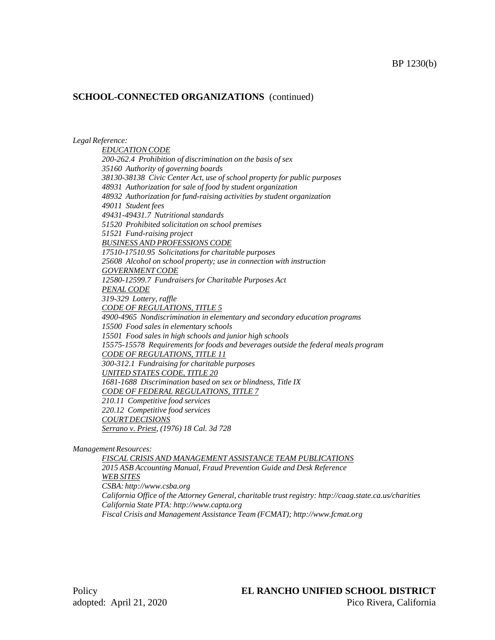### **SCHOOL-CONNECTED ORGANIZATIONS** (continued)

*Legal Reference:*

*EDUCATIONCODE 200-262.4 Prohibition of discrimination on the basis of sex 35160 Authority of governing boards 38130-38138 Civic Center Act, use of school property for public purposes 48931 Authorization for sale of food by student organization 48932 Authorization for fund-raising activities by student organization 49011 Student fees 49431-49431.7 Nutritional standards 51520 Prohibited solicitation on school premises 51521 Fund-raising project BUSINESS AND PROFESSIONS CODE 17510-17510.95 Solicitations for charitable purposes 25608 Alcohol on school property; use in connection with instruction GOVERNMENTCODE 12580-12599.7 Fundraisers for Charitable Purposes Act PENAL CODE 319-329 Lottery, raffle CODE OF REGULATIONS, TITLE 5 4900-4965 Nondiscrimination in elementary and secondary education programs 15500 Food sales in elementary schools 15501 Food sales in high schools and junior high schools 15575-15578 Requirements for foods and beverages outside the federal meals program CODE OF REGULATIONS, TITLE 11 300-312.1 Fundraising for charitable purposes UNITED STATES CODE, TITLE 20 1681-1688 Discrimination based on sex or blindness, Title IX CODE OF FEDERAL REGULATIONS, TITLE 7 210.11 Competitive food services 220.12 Competitive food services COURT DECISIONS Serrano v. Priest, (1976) 18 Cal. 3d 728*

*ManagementResources:*

*FISCAL CRISIS AND MANAGEMENT ASSISTANCE TEAM PUBLICATIONS 2015 ASB Accounting Manual, Fraud Prevention Guide and Desk Reference WEB SITES CSBA: [http://www.csba.org](http://www.csba.org/) California Office of the Attorney General, charitable trust registry: <http://caag.state.ca.us/charities> California State PTA: [http://www.capta.org](http://www.capta.org/) Fiscal Crisis and Management Assistance Team (FCMAT); [http://www.fcmat.org](http://www.fcmat.org/)*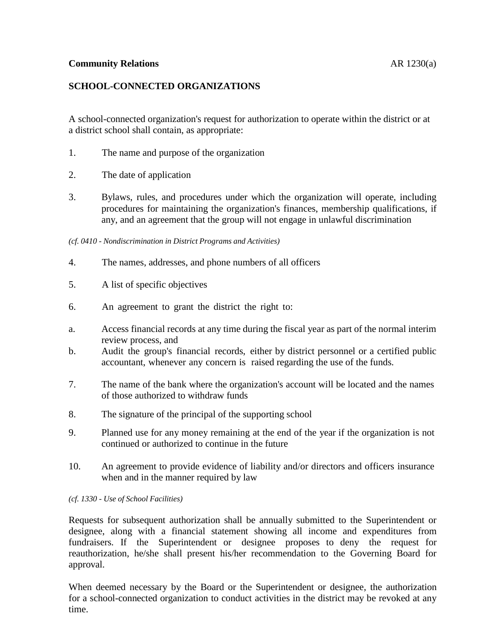### **Community Relations** AR 1230(a)

# **SCHOOL-CONNECTED ORGANIZATIONS**

A school-connected organization's request for authorization to operate within the district or at a district school shall contain, as appropriate:

- 1. The name and purpose of the organization
- 2. The date of application
- 3. Bylaws, rules, and procedures under which the organization will operate, including procedures for maintaining the organization's finances, membership qualifications, if any, and an agreement that the group will not engage in unlawful discrimination
- *(cf. 0410 - Nondiscrimination in District Programs and Activities)*
- 4. The names, addresses, and phone numbers of all officers
- 5. A list of specific objectives
- 6. An agreement to grant the district the right to:
- a. Access financial records at any time during the fiscal year as part of the normal interim review process, and
- b. Audit the group's financial records, either by district personnel or a certified public accountant, whenever any concern is raised regarding the use of the funds.
- 7. The name of the bank where the organization's account will be located and the names of those authorized to withdraw funds
- 8. The signature of the principal of the supporting school
- 9. Planned use for any money remaining at the end of the year if the organization is not continued or authorized to continue in the future
- 10. An agreement to provide evidence of liability and/or directors and officers insurance when and in the manner required by law

*(cf. 1330 - Use of School Facilities)*

Requests for subsequent authorization shall be annually submitted to the Superintendent or designee, along with a financial statement showing all income and expenditures from fundraisers. If the Superintendent or designee proposes to deny the request for reauthorization, he/she shall present his/her recommendation to the Governing Board for approval.

When deemed necessary by the Board or the Superintendent or designee, the authorization for a school-connected organization to conduct activities in the district may be revoked at any time.